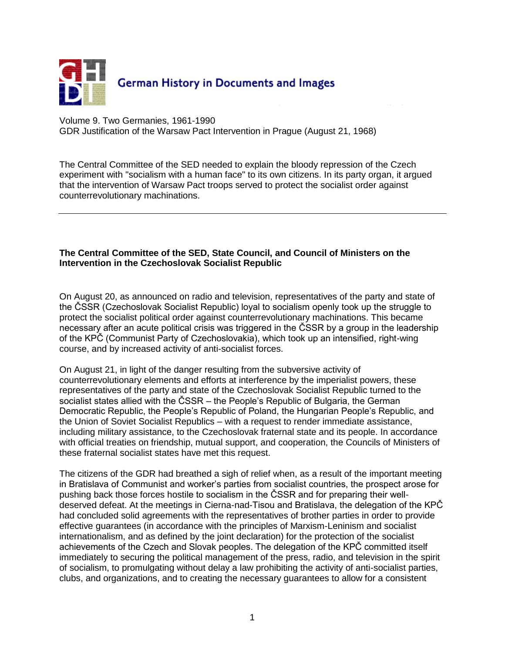

Volume 9. Two Germanies, 1961-1990 GDR Justification of the Warsaw Pact Intervention in Prague (August 21, 1968)

The Central Committee of the SED needed to explain the bloody repression of the Czech experiment with "socialism with a human face" to its own citizens. In its party organ, it argued that the intervention of Warsaw Pact troops served to protect the socialist order against counterrevolutionary machinations.

## **The Central Committee of the SED, State Council, and Council of Ministers on the Intervention in the Czechoslovak Socialist Republic**

On August 20, as announced on radio and television, representatives of the party and state of the ČSSR (Czechoslovak Socialist Republic) loyal to socialism openly took up the struggle to protect the socialist political order against counterrevolutionary machinations. This became necessary after an acute political crisis was triggered in the ČSSR by a group in the leadership of the KPČ (Communist Party of Czechoslovakia), which took up an intensified, right-wing course, and by increased activity of anti-socialist forces.

On August 21, in light of the danger resulting from the subversive activity of counterrevolutionary elements and efforts at interference by the imperialist powers, these representatives of the party and state of the Czechoslovak Socialist Republic turned to the socialist states allied with the ČSSR – the People's Republic of Bulgaria, the German Democratic Republic, the People's Republic of Poland, the Hungarian People's Republic, and the Union of Soviet Socialist Republics – with a request to render immediate assistance, including military assistance, to the Czechoslovak fraternal state and its people. In accordance with official treaties on friendship, mutual support, and cooperation, the Councils of Ministers of these fraternal socialist states have met this request.

The citizens of the GDR had breathed a sigh of relief when, as a result of the important meeting in Bratislava of Communist and worker's parties from socialist countries, the prospect arose for pushing back those forces hostile to socialism in the ČSSR and for preparing their welldeserved defeat. At the meetings in Cierna-nad-Tisou and Bratislava, the delegation of the KPČ had concluded solid agreements with the representatives of brother parties in order to provide effective guarantees (in accordance with the principles of Marxism-Leninism and socialist internationalism, and as defined by the joint declaration) for the protection of the socialist achievements of the Czech and Slovak peoples. The delegation of the KPČ committed itself immediately to securing the political management of the press, radio, and television in the spirit of socialism, to promulgating without delay a law prohibiting the activity of anti-socialist parties, clubs, and organizations, and to creating the necessary guarantees to allow for a consistent